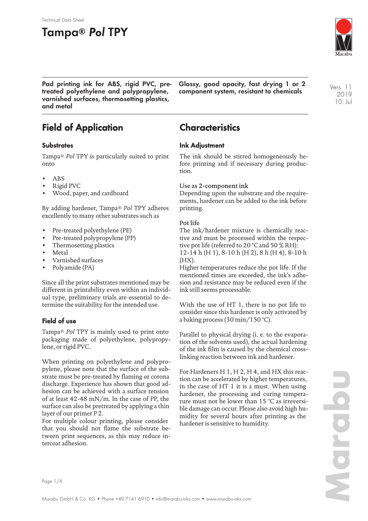# **Tampa® Pol TPY**

Technical Data Sheet



**Pad printing ink for ABS, rigid PVC, pretreated polyethylene and polypropylene, varnished surfaces, thermosetting plastics, and metal**

**Glossy, good opacity, fast drying 1 or 2 component system, resistant to chemicals**

Vers. 11 2019 10. Jul

# **Field of Application**

### **Substrates**

Tampa® *Pol* TPY is particularly suited to print onto

- ABS
- Rigid PVC
- Wood, paper, and cardboard

By adding hardener, Tampa® *Pol* TPY adheres excellently to many other substrates such as

- Pre-treated polyethylene (PE)
- Pre-treated polypropylene (PP)
- Thermosetting plastics
- Metal
- Varnished surfaces
- Polyamide (PA)

Since all the print substrates mentioned may be different in printability even within an individual type, preliminary trials are essential to determine the suitability for the intended use.

## **Field of use**

Tampa® *Pol* TPY is mainly used to print onto packaging made of polyethylene, polypropylene, or rigid PVC.

When printing on polyethylene and polypropylene, please note that the surface of the substrate must be pre-treated by flaming or corona discharge. Experience has shown that good adhesion can be achieved with a surface tension of at least 42-48 mN/m. In the case of PP, the surface can also be pretreated by applying a thin layer of our primer P 2.

For multiple colour printing, please consider that you should not flame the substrate between print sequences, as this may reduce intercoat adhesion.

# **Characteristics**

### **Ink Adjustment**

The ink should be stirred homogeneously before printing and if necessary during production.

### Use as 2-component ink

Depending upon the substrate and the requirements, hardener can be added to the ink before printing.

### Pot life

The ink/hardener mixture is chemically reactive and must be processed within the respective pot life (referred to 20 °C and 50 % RH):

12-14 h (H 1), 8-10 h (H 2), 8 h (H 4), 8-10 h  $(HX)$ .

Higher temperatures reduce the pot life. If the mentioned times are exceeded, the ink's adhesion and resistance may be reduced even if the ink still seems processable.

With the use of HT 1, there is no pot life to consider since this hardener is only activated by a baking process (30 min/150 °C).

Parallel to physical drying (i. e. to the evaporation of the solvents used), the actual hardening of the ink film is caused by the chemical crosslinking reaction between ink and hardener.

For Hardeners H 1, H 2, H 4, and HX this reaction can be accelerated by higher temperatures, in the case of HT 1 it is a must. When using hardener, the processing and curing temperature must not be lower than 15 °C as irreversible damage can occur. Please also avoid high humidity for several hours after printing as the hardener is sensitive to humidity.

Page 1/4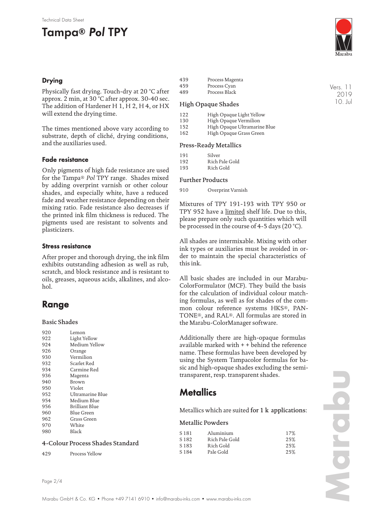# **Tampa® Pol TPY**

### **Drying**

Physically fast drying. Touch-dry at 20 °C after approx. 2 min, at 30 °C after approx. 30-40 sec. The addition of Hardener H 1, H 2, H 4, or HX will extend the drying time.

The times mentioned above vary according to substrate, depth of cliché, drying conditions, and the auxiliaries used.

### **Fade resistance**

Only pigments of high fade resistance are used for the Tampa® *Pol* TPY range. Shades mixed by adding overprint varnish or other colour shades, and especially white, have a reduced fade and weather resistance depending on their mixing ratio. Fade resistance also decreases if the printed ink film thickness is reduced. The pigments used are resistant to solvents and plasticizers.

### **Stress resistance**

After proper and thorough drying, the ink film exhibits outstanding adhesion as well as rub, scratch, and block resistance and is resistant to oils, greases, aqueous acids, alkalines, and alcohol.

# **Range**

### Basic Shades

| 920 | Lemon            |
|-----|------------------|
| 922 | Light Yellow     |
| 924 | Medium Yellow    |
| 926 | Orange           |
| 930 | Vermilion        |
| 932 | Scarlet Red      |
| 934 | Carmine Red      |
| 936 | Magenta          |
| 940 | Brown            |
| 950 | Violet           |
| 952 | Ultramarine Blue |
| 954 | Medium Blue      |
| 956 | Brilliant Blue   |
| 960 | Blue Green       |
| 962 | Grass Green      |
| 970 | White            |
| 980 | Black            |
|     |                  |

#### 4-Colour Process Shades Standard

429 Process Yellow



439 Process Magenta<br>459 Process Cyan Process Cyan 489 Process Black

#### High Opaque Shades

- 122 High Opaque Light Yellow
- 130 High Opaque Vermilion
- 152 High Opaque Ultramarine Blue
- 162 High Opaque Grass Green

#### Press-Ready Metallics

| 191 | Silver         |
|-----|----------------|
| 192 | Rich Pale Gold |
| 193 | Rich Gold      |

#### Further Products

910 Overprint Varnish

Mixtures of TPY 191-193 with TPY 950 or TPY 952 have a limited shelf life. Due to this, please prepare only such quantities which will be processed in the course of 4-5 days (20 °C).

All shades are intermixable. Mixing with other ink types or auxiliaries must be avoided in order to maintain the special characteristics of this ink.

All basic shades are included in our Marabu-ColorFormulator (MCF). They build the basis for the calculation of individual colour matching formulas, as well as for shades of the common colour reference systems HKS®, PAN-TONE®, and RAL®. All formulas are stored in the Marabu-ColorManager software.

Additionally there are high-opaque formulas available marked with + + behind the reference name. These formulas have been developed by using the System Tampacolor formulas for basic and high-opaque shades excluding the semitransparent, resp. transparent shades.

## **Metallics**

Metallics which are suited for 1 k applications:

#### Metallic Powders

| S 181 | Aluminium      | 17% |
|-------|----------------|-----|
| S 182 | Rich Pale Gold | 25% |
| S 183 | Rich Gold      | 25% |
| S 184 | Pale Gold      | 25% |

Vers. 11 2019 10. Jul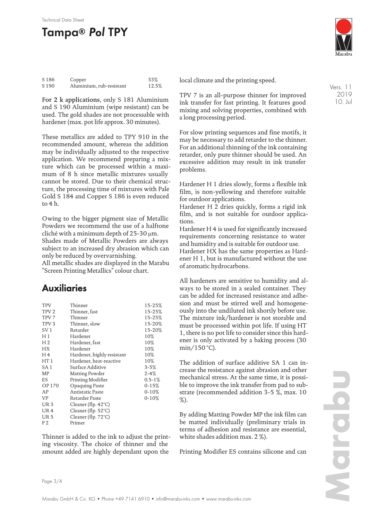#### Technical Data Sheet

# **Tampa® Pol TPY**

| S <sub>186</sub> | Copper                   | 33%   |
|------------------|--------------------------|-------|
| S 190            | Aluminium, rub-resistant | 12.5% |

For 2 k applications, only S 181 Aluminium and S 190 Aluminium (wipe resistant) can be used. The gold shades are not processable with hardener (max. pot life approx. 30 minutes).

These metallics are added to TPY 910 in the recommended amount, whereas the addition may be individually adjusted to the respective application. We recommend preparing a mixture which can be processed within a maximum of 8 h since metallic mixtures usually cannot be stored. Due to their chemical structure, the processing time of mixtures with Pale Gold S 184 and Copper S 186 is even reduced to 4 h.

Owing to the bigger pigment size of Metallic Powders we recommend the use of a halftone cliché with a minimum depth of 25-30 µm. Shades made of Metallic Powders are always subject to an increased dry abrasion which can only be reduced by overvarnishing.

All metallic shades are displayed in the Marabu "Screen Printing Metallics" colour chart.

## **Auxiliaries**

| <b>TPV</b><br>TPV <sub>2</sub><br>TPV <sub>7</sub><br>TPV <sub>3</sub><br>SV <sub>1</sub><br>H 1<br>H <sub>2</sub><br>НX<br>H <sub>4</sub><br>HT 1<br>SA 1<br>MP<br>ES<br>OP 170<br>AP<br><b>VP</b><br>UR <sub>3</sub> | Thinner<br>Thinner, fast<br>Thinner<br>Thinner, slow<br>Retarder<br>Hardener<br>Hardener, fast<br>Hardener<br>Hardener, highly resistant<br>Hardener, heat-reactive<br>Surface Additive<br>Matting Powder<br>Printing Modifier<br>Opaquing Paste<br>Antistatic Paste<br>Retarder Paste<br>Cleaner (flp. 42°C) | 15-25%<br>15-25%<br>15-25%<br>15-20%<br>15-20%<br>10%<br>10%<br>10%<br>10%<br>10%<br>$3 - 5%$<br>$2 - 4%$<br>$0.5 - 1\%$<br>$0 - 15%$<br>$0 - 10%$<br>$0 - 10%$ |
|------------------------------------------------------------------------------------------------------------------------------------------------------------------------------------------------------------------------|---------------------------------------------------------------------------------------------------------------------------------------------------------------------------------------------------------------------------------------------------------------------------------------------------------------|-----------------------------------------------------------------------------------------------------------------------------------------------------------------|
| UR <sub>4</sub><br><b>UR5</b><br>P2                                                                                                                                                                                    | Cleaner (flp. 52°C)<br>Cleaner (flp. $72^{\circ}$ C)<br>Primer                                                                                                                                                                                                                                                |                                                                                                                                                                 |
|                                                                                                                                                                                                                        |                                                                                                                                                                                                                                                                                                               |                                                                                                                                                                 |

Thinner is added to the ink to adjust the printing viscosity. The choice of thinner and the amount added are highly dependant upon the



local climate and the printing speed.

TPV 7 is an all-purpose thinner for improved ink transfer for fast printing. It features good mixing and solving properties, combined with a long processing period.

For slow printing sequences and fine motifs, it may be necessary to add retarder to the thinner. For an additional thinning of the ink containing retarder, only pure thinner should be used. An excessive addition may result in ink transfer problems.

Hardener H 1 dries slowly, forms a flexible ink film, is non-yellowing and therefore suitable for outdoor applications.

Hardener H 2 dries quickly, forms a rigid ink film, and is not suitable for outdoor applications.

Hardener H 4 is used for significantly increased requirements concerning resistance to water and humidity and is suitable for outdoor use.

Hardener HX has the same properties as Hardener H 1, but is manufactured without the use of aromatic hydrocarbons.

All hardeners are sensitive to humidity and always to be stored in a sealed container. They can be added for increased resistance and adhesion and must be stirred well and homogeneously into the undiluted ink shortly before use. The mixture ink/hardener is not storable and must be processed within pot life. If using HT 1, there is no pot life to consider since this hardener is only activated by a baking process (30 min/150 °C).

The addition of surface additive SA 1 can increase the resistance against abrasion and other mechanical stress. At the same time, it is possible to improve the ink transfer from pad to substrate (recommended addition 3-5 %, max. 10 %).

By adding Matting Powder MP the ink film can be matted individually (preliminary trials in terms of adhesion and resistance are essential, white shades addition max. 2 %).

Printing Modifier ES contains silicone and can

Vers. 11 2019 10. Jul